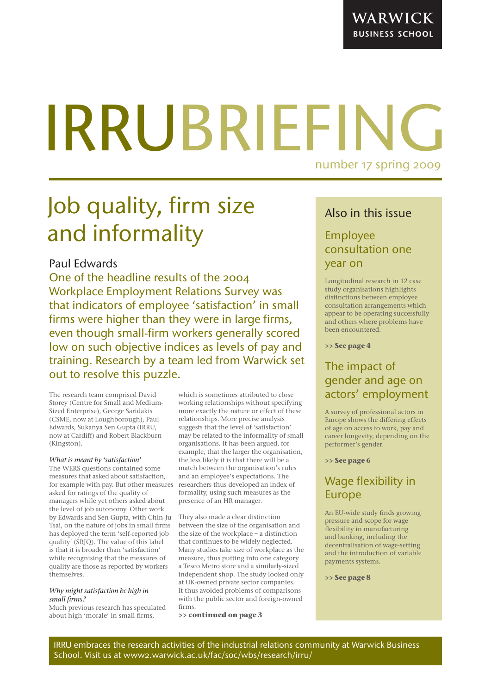# IRRUBRIEFING number 17 spring 2009

## Job quality, firm size and informality

### Paul Edwards

One of the headline results of the 2004 Workplace Employment Relations Survey was that indicators of employee 'satisfaction' in small firms were higher than they were in large firms, even though small-firm workers generally scored low on such objective indices as levels of pay and training. Research by a team led from Warwick set out to resolve this puzzle.

The research team comprised David Storey (Centre for Small and Medium-Sized Enterprise), George Saridakis (CSME, now at Loughborough), Paul Edwards, Sukanya Sen Gupta (IRRU, now at Cardiff) and Robert Blackburn (Kingston).

#### *What is meant by 'satisfaction'*

The WERS questions contained some measures that asked about satisfaction, for example with pay. But other measures researchers thus developed an index of asked for ratings of the quality of managers while yet others asked about the level of job autonomy. Other work by Edwards and Sen Gupta, with Chin-Ju Tsai, on the nature of jobs in small firms has deployed the term 'self-reported job quality' (SRJQ). The value of this label is that it is broader than 'satisfaction' while recognising that the measures of quality are those as reported by workers themselves.

#### *Why might satisfaction be high in small firms?*

Much previous research has speculated about high 'morale' in small firms,

which is sometimes attributed to close working relationships without specifying more exactly the nature or effect of these relationships. More precise analysis suggests that the level of 'satisfaction' may be related to the informality of small organisations. It has been argued, for example, that the larger the organisation, the less likely it is that there will be a match between the organisation's rules and an employee's expectations. The formality, using such measures as the presence of an HR manager.

They also made a clear distinction between the size of the organisation and the size of the workplace – a distinction that continues to be widely neglected. Many studies take size of workplace as the measure, thus putting into one category a Tesco Metro store and a similarly-sized independent shop. The study looked only at UK-owned private sector companies. It thus avoided problems of comparisons with the public sector and foreign-owned firms.

**>> continued on page 3**

## Also in this issue

## Employee consultation one year on

Longitudinal research in 12 case study organisations highlights distinctions between employee consultation arrangements which appear to be operating successfully and others where problems have been encountered.

**>> See page 4**

## The impact of gender and age on actors' employment

A survey of professional actors in Europe shows the differing effects of age on access to work, pay and career longevity, depending on the performer's gender.

**>> See page 6**

## Wage flexibility in Europe

An EU-wide study finds growing pressure and scope for wage flexibility in manufacturing and banking, including the decentralisation of wage-setting and the introduction of variable payments systems.

**>> See page 8**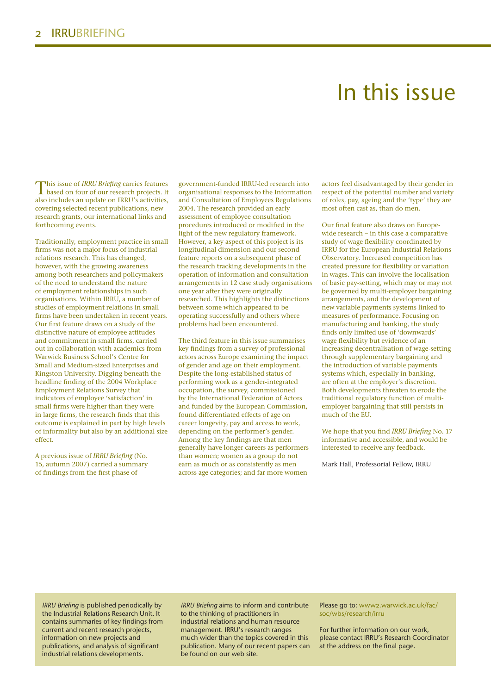## In this issue

This issue of *IRRU Briefing* carries features **L** based on four of our research projects. It also includes an update on IRRU's activities, covering selected recent publications, new research grants, our international links and forthcoming events.

Traditionally, employment practice in small firms was not a major focus of industrial relations research. This has changed, however, with the growing awareness among both researchers and policymakers of the need to understand the nature of employment relationships in such organisations. Within IRRU, a number of studies of employment relations in small firms have been undertaken in recent years. Our first feature draws on a study of the distinctive nature of employee attitudes and commitment in small firms, carried out in collaboration with academics from Warwick Business School's Centre for Small and Medium-sized Enterprises and Kingston University. Digging beneath the headline finding of the 2004 Workplace Employment Relations Survey that indicators of employee 'satisfaction' in small firms were higher than they were in large firms, the research finds that this outcome is explained in part by high levels of informality but also by an additional size effect.

A previous issue of *IRRU Briefing* (No. 15, autumn 2007) carried a summary of findings from the first phase of

government-funded IRRU-led research into organisational responses to the Information and Consultation of Employees Regulations 2004. The research provided an early assessment of employee consultation procedures introduced or modified in the light of the new regulatory framework. However, a key aspect of this project is its longitudinal dimension and our second feature reports on a subsequent phase of the research tracking developments in the operation of information and consultation arrangements in 12 case study organisations one year after they were originally researched. This highlights the distinctions between some which appeared to be operating successfully and others where problems had been encountered.

The third feature in this issue summarises key findings from a survey of professional actors across Europe examining the impact of gender and age on their employment. Despite the long-established status of performing work as a gender-integrated occupation, the survey, commissioned by the International Federation of Actors and funded by the European Commission, found differentiated effects of age on career longevity, pay and access to work, depending on the performer's gender. Among the key findings are that men generally have longer careers as performers than women; women as a group do not earn as much or as consistently as men across age categories; and far more women

actors feel disadvantaged by their gender in respect of the potential number and variety of roles, pay, ageing and the 'type' they are most often cast as, than do men.

Our final feature also draws on Europewide research – in this case a comparative study of wage flexibility coordinated by IRRU for the European Industrial Relations Observatory. Increased competition has created pressure for flexibility or variation in wages. This can involve the localisation of basic pay-setting, which may or may not be governed by multi-employer bargaining arrangements, and the development of new variable payments systems linked to measures of performance. Focusing on manufacturing and banking, the study finds only limited use of 'downwards' wage flexibility but evidence of an increasing decentralisation of wage-setting through supplementary bargaining and the introduction of variable payments systems which, especially in banking, are often at the employer's discretion. Both developments threaten to erode the traditional regulatory function of multiemployer bargaining that still persists in much of the EU.

We hope that you find *IRRU Briefing* No. 17 informative and accessible, and would be interested to receive any feedback.

Mark Hall, Professorial Fellow, IRRU

*IRRU Briefing* is published periodically by the Industrial Relations Research Unit. It contains summaries of key findings from current and recent research projects, information on new projects and publications, and analysis of significant industrial relations developments.

*IRRU Briefing* aims to inform and contribute to the thinking of practitioners in industrial relations and human resource management. IRRU's research ranges much wider than the topics covered in this publication. Many of our recent papers can be found on our web site.

Please go to: www2.warwick.ac.uk/fac/ soc/wbs/research/irru

For further information on our work, please contact IRRU's Research Coordinator at the address on the final page.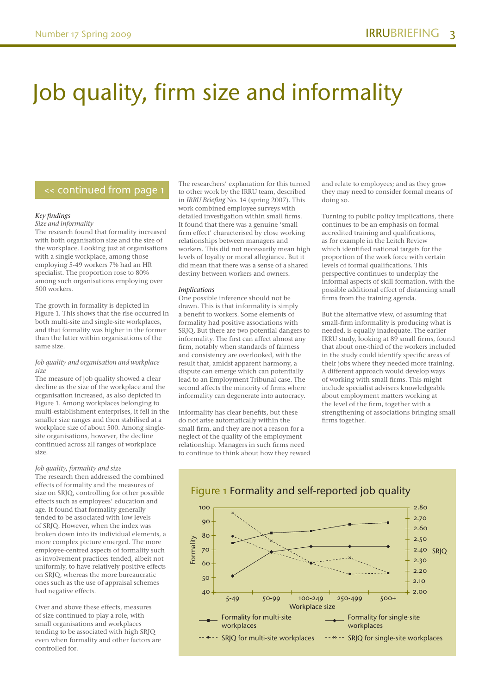## Job quality, firm size and informality

### << continued from page 1

#### *Key findings*

*Size and informality* The research found that formality increased with both organisation size and the size of the workplace. Looking just at organisations with a single workplace, among those employing 5-49 workers 7% had an HR specialist. The proportion rose to 80% among such organisations employing over 500 workers.

The growth in formality is depicted in Figure 1. This shows that the rise occurred in both multi-site and single-site workplaces, and that formality was higher in the former than the latter within organisations of the same size.

#### *Job quality and organisation and workplace size*

The measure of job quality showed a clear decline as the size of the workplace and the organisation increased, as also depicted in Figure 1. Among workplaces belonging to multi-establishment enterprises, it fell in the smaller size ranges and then stabilised at a workplace size of about 500. Among singlesite organisations, however, the decline continued across all ranges of workplace size.

#### *Job quality, formality and size*

The research then addressed the combined effects of formality and the measures of size on SRJQ, controlling for other possible effects such as employees' education and age. It found that formality generally tended to be associated with low levels of SRJQ. However, when the index was broken down into its individual elements, a more complex picture emerged. The more employee-centred aspects of formality such as involvement practices tended, albeit not uniformly, to have relatively positive effects on SRJQ, whereas the more bureaucratic ones such as the use of appraisal schemes had negative effects.

Over and above these effects, measures of size continued to play a role, with small organisations and workplaces tending to be associated with high SRJQ even when formality and other factors are controlled for.

The researchers' explanation for this turned to other work by the IRRU team, described in *IRRU Briefing* No. 14 (spring 2007). This work combined employee surveys with detailed investigation within small firms. It found that there was a genuine 'small firm effect' characterised by close working relationships between managers and workers. This did not necessarily mean high levels of loyalty or moral allegiance. But it did mean that there was a sense of a shared destiny between workers and owners.

#### *Implications*

One possible inference should not be drawn. This is that informality is simply a benefit to workers. Some elements of formality had positive associations with SRJQ. But there are two potential dangers to informality. The first can affect almost any firm, notably when standards of fairness and consistency are overlooked, with the result that, amidst apparent harmony, a dispute can emerge which can potentially lead to an Employment Tribunal case. The second affects the minority of firms where informality can degenerate into autocracy.

Informality has clear benefits, but these do not arise automatically within the small firm, and they are not a reason for a neglect of the quality of the employment relationship. Managers in such firms need to continue to think about how they reward and relate to employees; and as they grow they may need to consider formal means of doing so.

Turning to public policy implications, there continues to be an emphasis on formal accredited training and qualifications, as for example in the Leitch Review which identified national targets for the proportion of the work force with certain levels of formal qualifications. This perspective continues to underplay the informal aspects of skill formation, with the possible additional effect of distancing small firms from the training agenda.

But the alternative view, of assuming that small-firm informality is producing what is needed, is equally inadequate. The earlier IRRU study, looking at 89 small firms, found that about one-third of the workers included in the study could identify specific areas of their jobs where they needed more training. A different approach would develop ways of working with small firms. This might include specialist advisers knowledgeable about employment matters working at the level of the firm, together with a strengthening of associations bringing small firms together.

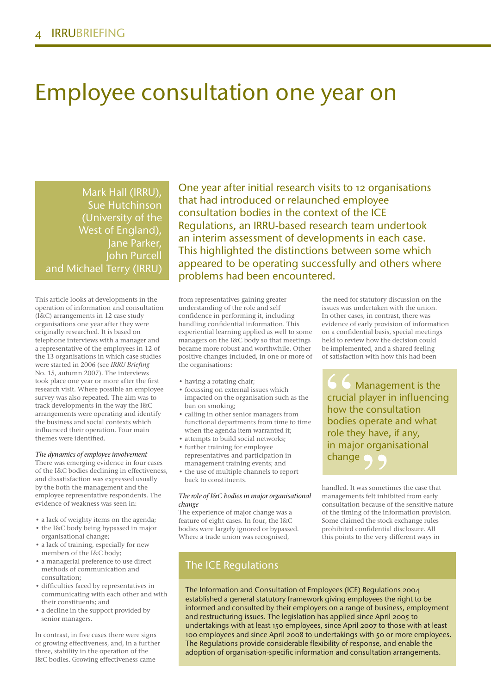## Employee consultation one year on

Mark Hall (IRRU), Sue Hutchinson (University of the West of England), Jane Parker, John Purcell and Michael Terry (IRRU)

This article looks at developments in the operation of information and consultation (I&C) arrangements in 12 case study organisations one year after they were originally researched. It is based on telephone interviews with a manager and a representative of the employees in 12 of the 13 organisations in which case studies were started in 2006 (see *IRRU Briefing* No. 15, autumn 2007). The interviews took place one year or more after the first research visit. Where possible an employee survey was also repeated. The aim was to track developments in the way the I&C arrangements were operating and identify the business and social contexts which influenced their operation. Four main themes were identified.

#### *The dynamics of employee involvement*

There was emerging evidence in four cases of the I&C bodies declining in effectiveness, and dissatisfaction was expressed usually by the both the management and the employee representative respondents. The evidence of weakness was seen in:

- a lack of weighty items on the agenda;
- the I&C body being bypassed in major organisational change;
- a lack of training, especially for new members of the I&C body;
- a managerial preference to use direct methods of communication and consultation;
- difficulties faced by representatives in communicating with each other and with their constituents; and
- a decline in the support provided by senior managers.

In contrast, in five cases there were signs of growing effectiveness, and, in a further three, stability in the operation of the I&C bodies. Growing effectiveness came

One year after initial research visits to 12 organisations that had introduced or relaunched employee consultation bodies in the context of the ICE Regulations, an IRRU-based research team undertook an interim assessment of developments in each case. This highlighted the distinctions between some which appeared to be operating successfully and others where problems had been encountered.

from representatives gaining greater understanding of the role and self confidence in performing it, including handling confidential information. This experiential learning applied as well to some managers on the I&C body so that meetings became more robust and worthwhile. Other positive changes included, in one or more of the organisations:

- having a rotating chair;
- focussing on external issues which impacted on the organisation such as the ban on smoking;
- calling in other senior managers from functional departments from time to time when the agenda item warranted it;
- attempts to build social networks;
- further training for employee representatives and participation in management training events; and
- the use of multiple channels to report back to constituents.

#### *The role of I&C bodies in major organisational change*

The experience of major change was a feature of eight cases. In four, the I&C bodies were largely ignored or bypassed. Where a trade union was recognised,

### The ICE Regulations

the need for statutory discussion on the issues was undertaken with the union. In other cases, in contrast, there was evidence of early provision of information on a confidential basis, special meetings held to review how the decision could be implemented, and a shared feeling of satisfaction with how this had been

Management is the crucial player in influencing how the consultation bodies operate and what role they have, if any, in major organisational change

handled. It was sometimes the case that managements felt inhibited from early consultation because of the sensitive nature of the timing of the information provision. Some claimed the stock exchange rules prohibited confidential disclosure. All this points to the very different ways in

The Information and Consultation of Employees (ICE) Regulations 2004 established a general statutory framework giving employees the right to be informed and consulted by their employers on a range of business, employment and restructuring issues. The legislation has applied since April 2005 to undertakings with at least 150 employees, since April 2007 to those with at least 100 employees and since April 2008 to undertakings with 50 or more employees. The Regulations provide considerable flexibility of response, and enable the adoption of organisation-specific information and consultation arrangements.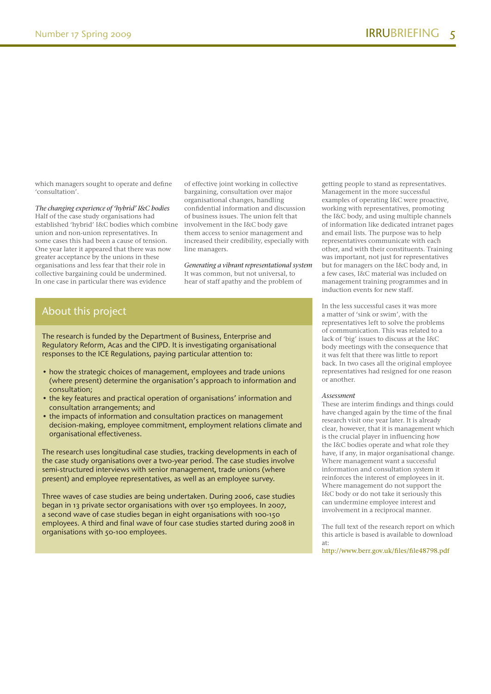which managers sought to operate and define 'consultation'.

*The changing experience of 'hybrid' I&C bodies*

Half of the case study organisations had established 'hybrid' I&C bodies which combine union and non-union representatives. In some cases this had been a cause of tension. One year later it appeared that there was now greater acceptance by the unions in these organisations and less fear that their role in collective bargaining could be undermined. In one case in particular there was evidence

of effective joint working in collective bargaining, consultation over major organisational changes, handling confidential information and discussion of business issues. The union felt that involvement in the I&C body gave them access to senior management and increased their credibility, especially with line managers.

*Generating a vibrant representational system* It was common, but not universal, to hear of staff apathy and the problem of

### About this project

The research is funded by the Department of Business, Enterprise and Regulatory Reform, Acas and the CIPD. It is investigating organisational responses to the ICE Regulations, paying particular attention to:

- how the strategic choices of management, employees and trade unions (where present) determine the organisation's approach to information and consultation;
- the key features and practical operation of organisations' information and consultation arrangements; and
- the impacts of information and consultation practices on management decision-making, employee commitment, employment relations climate and organisational effectiveness.

The research uses longitudinal case studies, tracking developments in each of the case study organisations over a two-year period. The case studies involve semi-structured interviews with senior management, trade unions (where present) and employee representatives, as well as an employee survey.

Three waves of case studies are being undertaken. During 2006, case studies began in 13 private sector organisations with over 150 employees. In 2007, a second wave of case studies began in eight organisations with 100-150 employees. A third and final wave of four case studies started during 2008 in organisations with 50-100 employees.

getting people to stand as representatives. Management in the more successful examples of operating I&C were proactive, working with representatives, promoting the I&C body, and using multiple channels of information like dedicated intranet pages and email lists. The purpose was to help representatives communicate with each other, and with their constituents. Training was important, not just for representatives but for managers on the I&C body and, in a few cases, I&C material was included on management training programmes and in induction events for new staff.

In the less successful cases it was more a matter of 'sink or swim', with the representatives left to solve the problems of communication. This was related to a lack of 'big' issues to discuss at the I&C body meetings with the consequence that it was felt that there was little to report back. In two cases all the original employee representatives had resigned for one reason or another.

#### *Assessment*

These are interim findings and things could have changed again by the time of the final research visit one year later. It is already clear, however, that it is management which is the crucial player in influencing how the I&C bodies operate and what role they have, if any, in major organisational change. Where management want a successful information and consultation system it reinforces the interest of employees in it. Where management do not support the I&C body or do not take it seriously this can undermine employee interest and involvement in a reciprocal manner.

The full text of the research report on which this article is based is available to download at:

http://www.berr.gov.uk/files/file48798.pdf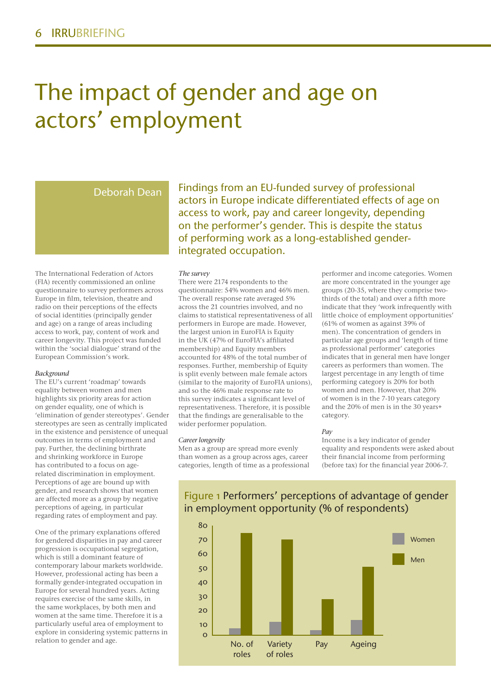## The impact of gender and age on actors' employment

### Deborah Dean

The International Federation of Actors (FIA) recently commissioned an online questionnaire to survey performers across Europe in film, television, theatre and radio on their perceptions of the effects of social identities (principally gender and age) on a range of areas including access to work, pay, content of work and career longevity. This project was funded within the 'social dialogue' strand of the European Commission's work.

#### *Background*

The EU's current 'roadmap' towards equality between women and men highlights six priority areas for action on gender equality, one of which is 'elimination of gender stereotypes'. Gender stereotypes are seen as centrally implicated in the existence and persistence of unequal outcomes in terms of employment and pay. Further, the declining birthrate and shrinking workforce in Europe has contributed to a focus on agerelated discrimination in employment. Perceptions of age are bound up with gender, and research shows that women are affected more as a group by negative perceptions of ageing, in particular regarding rates of employment and pay.

One of the primary explanations offered for gendered disparities in pay and career progression is occupational segregation, which is still a dominant feature of contemporary labour markets worldwide. However, professional acting has been a formally gender-integrated occupation in Europe for several hundred years. Acting requires exercise of the same skills, in the same workplaces, by both men and women at the same time. Therefore it is a particularly useful area of employment to explore in considering systemic patterns in relation to gender and age.

Findings from an EU-funded survey of professional actors in Europe indicate differentiated effects of age on access to work, pay and career longevity, depending on the performer's gender. This is despite the status of performing work as a long-established genderintegrated occupation.

#### *The survey*

There were 2174 respondents to the questionnaire: 54% women and 46% men. The overall response rate averaged 5% across the 21 countries involved, and no claims to statistical representativeness of all performers in Europe are made. However, the largest union in EuroFIA is Equity in the UK (47% of EuroFIA's affiliated membership) and Equity members accounted for 48% of the total number of responses. Further, membership of Equity is split evenly between male female actors (similar to the majority of EuroFIA unions), and so the 46% male response rate to this survey indicates a significant level of representativeness. Therefore, it is possible that the findings are generalisable to the wider performer population.

#### *Career longevity*

Men as a group are spread more evenly than women as a group across ages, career categories, length of time as a professional

performer and income categories. Women are more concentrated in the younger age groups (20-35, where they comprise twothirds of the total) and over a fifth more indicate that they 'work infrequently with little choice of employment opportunities' (61% of women as against 39% of men). The concentration of genders in particular age groups and 'length of time as professional performer' categories indicates that in general men have longer careers as performers than women. The largest percentage in any length of time performing category is 20% for both women and men. However, that 20% of women is in the 7-10 years category and the 20% of men is in the 30 years+ category.

#### *Pay*

Income is a key indicator of gender equality and respondents were asked about their financial income from performing (before tax) for the financial year 2006-7.



Figure 1 Performers' perceptions of advantage of gender in employment opportunity (% of respondents)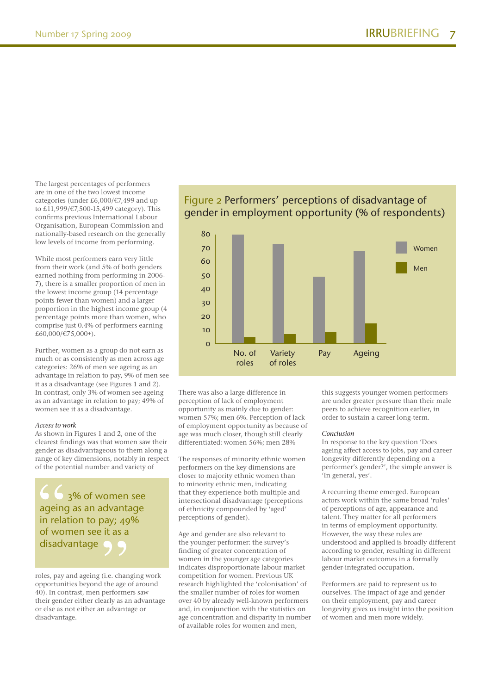The largest percentages of performers are in one of the two lowest income categories (under £6,000/€7,499 and up to £11,999/€7,500-15,499 category). This confirms previous International Labour Organisation, European Commission and nationally-based research on the generally low levels of income from performing.

While most performers earn very little from their work (and 5% of both genders earned nothing from performing in 2006- 7), there is a smaller proportion of men in the lowest income group (14 percentage points fewer than women) and a larger proportion in the highest income group (4 percentage points more than women, who comprise just 0.4% of performers earning £60,000/€75,000+).

Further, women as a group do not earn as much or as consistently as men across age categories: 26% of men see ageing as an advantage in relation to pay, 9% of men see it as a disadvantage (see Figures 1 and 2). In contrast, only 3% of women see ageing as an advantage in relation to pay; 49% of women see it as a disadvantage.

#### *Access to work*

As shown in Figures 1 and 2, one of the clearest findings was that women saw their gender as disadvantageous to them along a range of key dimensions, notably in respect of the potential number and variety of

3% of women see ageing as an advantage in relation to pay; 49% of women see it as a disadvantage

roles, pay and ageing (i.e. changing work opportunities beyond the age of around 40). In contrast, men performers saw their gender either clearly as an advantage or else as not either an advantage or disadvantage.

### Figure 2 Performers' perceptions of disadvantage of gender in employment opportunity (% of respondents)



There was also a large difference in perception of lack of employment opportunity as mainly due to gender: women 57%; men 6%. Perception of lack of employment opportunity as because of age was much closer, though still clearly differentiated: women 56%; men 28%

The responses of minority ethnic women performers on the key dimensions are closer to majority ethnic women than to minority ethnic men, indicating that they experience both multiple and intersectional disadvantage (perceptions of ethnicity compounded by 'aged' perceptions of gender).

Age and gender are also relevant to the younger performer: the survey's finding of greater concentration of women in the younger age categories indicates disproportionate labour market competition for women. Previous UK research highlighted the 'colonisation' of the smaller number of roles for women over 40 by already well-known performers and, in conjunction with the statistics on age concentration and disparity in number of available roles for women and men,

this suggests younger women performers are under greater pressure than their male peers to achieve recognition earlier, in order to sustain a career long-term.

#### *Conclusion*

In response to the key question 'Does ageing affect access to jobs, pay and career longevity differently depending on a performer's gender?', the simple answer is 'In general, yes'.

A recurring theme emerged. European actors work within the same broad 'rules' of perceptions of age, appearance and talent. They matter for all performers in terms of employment opportunity. However, the way these rules are understood and applied is broadly different according to gender, resulting in different labour market outcomes in a formally gender-integrated occupation.

Performers are paid to represent us to ourselves. The impact of age and gender on their employment, pay and career longevity gives us insight into the position of women and men more widely.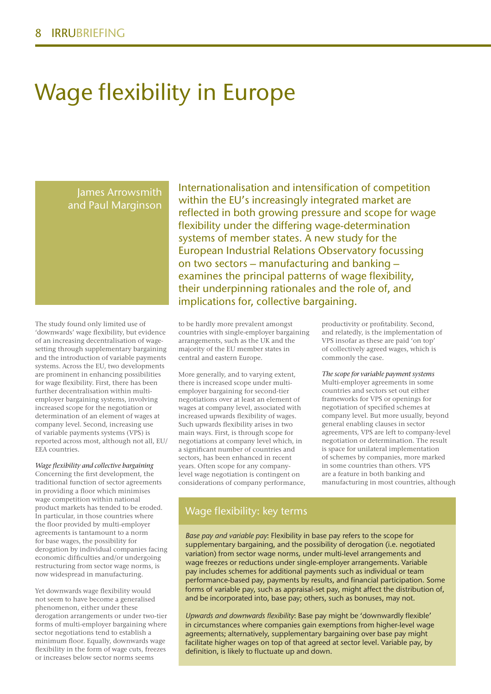## Wage flexibility in Europe

James Arrowsmith and Paul Marginson

The study found only limited use of 'downwards' wage flexibility, but evidence of an increasing decentralisation of wagesetting through supplementary bargaining and the introduction of variable payments systems. Across the EU, two developments are prominent in enhancing possibilities for wage flexibility. First, there has been further decentralisation within multiemployer bargaining systems, involving increased scope for the negotiation or determination of an element of wages at company level. Second, increasing use of variable payments systems (VPS) is reported across most, although not all, EU/ EEA countries.

#### *Wage flexibility and collective bargaining*

Concerning the first development, the traditional function of sector agreements in providing a floor which minimises wage competition within national product markets has tended to be eroded. In particular, in those countries where the floor provided by multi-employer agreements is tantamount to a norm for base wages, the possibility for derogation by individual companies facing economic difficulties and/or undergoing restructuring from sector wage norms, is now widespread in manufacturing.

Yet downwards wage flexibility would not seem to have become a generalised phenomenon, either under these derogation arrangements or under two-tier forms of multi-employer bargaining where sector negotiations tend to establish a minimum floor. Equally, downwards wage flexibility in the form of wage cuts, freezes or increases below sector norms seems

Internationalisation and intensification of competition within the EU's increasingly integrated market are reflected in both growing pressure and scope for wage flexibility under the differing wage-determination systems of member states. A new study for the European Industrial Relations Observatory focussing on two sectors – manufacturing and banking – examines the principal patterns of wage flexibility, their underpinning rationales and the role of, and implications for, collective bargaining.

to be hardly more prevalent amongst countries with single-employer bargaining arrangements, such as the UK and the majority of the EU member states in central and eastern Europe.

More generally, and to varying extent, there is increased scope under multiemployer bargaining for second-tier negotiations over at least an element of wages at company level, associated with increased upwards flexibility of wages. Such upwards flexibility arises in two main ways. First, is through scope for negotiations at company level which, in a significant number of countries and sectors, has been enhanced in recent years. Often scope for any companylevel wage negotiation is contingent on considerations of company performance,

productivity or profitability. Second, and relatedly, is the implementation of VPS insofar as these are paid 'on top' of collectively agreed wages, which is commonly the case.

*The scope for variable payment systems* Multi-employer agreements in some countries and sectors set out either frameworks for VPS or openings for negotiation of specified schemes at company level. But more usually, beyond general enabling clauses in sector agreements, VPS are left to company-level negotiation or determination. The result is space for unilateral implementation of schemes by companies, more marked in some countries than others. VPS are a feature in both banking and manufacturing in most countries, although

### Wage flexibility: key terms

*Base pay and variable pay*: Flexibility in base pay refers to the scope for supplementary bargaining, and the possibility of derogation (i.e. negotiated variation) from sector wage norms, under multi-level arrangements and wage freezes or reductions under single-employer arrangements. Variable pay includes schemes for additional payments such as individual or team performance-based pay, payments by results, and financial participation. Some forms of variable pay, such as appraisal-set pay, might affect the distribution of, and be incorporated into, base pay; others, such as bonuses, may not.

*Upwards and downwards flexibility*: Base pay might be 'downwardly flexible' in circumstances where companies gain exemptions from higher-level wage agreements; alternatively, supplementary bargaining over base pay might facilitate higher wages on top of that agreed at sector level. Variable pay, by definition, is likely to fluctuate up and down.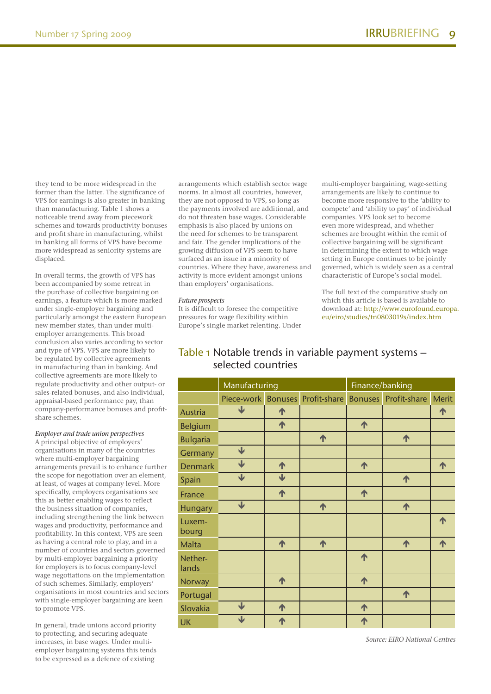they tend to be more widespread in the former than the latter. The significance of VPS for earnings is also greater in banking than manufacturing. Table 1 shows a noticeable trend away from piecework schemes and towards productivity bonuses and profit share in manufacturing, whilst in banking all forms of VPS have become more widespread as seniority systems are displaced.

In overall terms, the growth of VPS has been accompanied by some retreat in the purchase of collective bargaining on earnings, a feature which is more marked under single-employer bargaining and particularly amongst the eastern European new member states, than under multiemployer arrangements. This broad conclusion also varies according to sector and type of VPS. VPS are more likely to be regulated by collective agreements in manufacturing than in banking. And collective agreements are more likely to regulate productivity and other output- or sales-related bonuses, and also individual, appraisal-based performance pay, than company-performance bonuses and profitshare schemes.

#### *Employer and trade union perspectives*

A principal objective of employers' organisations in many of the countries where multi-employer bargaining arrangements prevail is to enhance further the scope for negotiation over an element, at least, of wages at company level. More specifically, employers organisations see this as better enabling wages to reflect the business situation of companies, including strengthening the link between wages and productivity, performance and profitability. In this context, VPS are seen as having a central role to play, and in a number of countries and sectors governed by multi-employer bargaining a priority for employers is to focus company-level wage negotiations on the implementation of such schemes. Similarly, employers' organisations in most countries and sectors with single-employer bargaining are keen to promote VPS.

In general, trade unions accord priority to protecting, and securing adequate increases, in base wages. Under multiemployer bargaining systems this tends to be expressed as a defence of existing

arrangements which establish sector wage norms. In almost all countries, however, they are not opposed to VPS, so long as the payments involved are additional, and do not threaten base wages. Considerable emphasis is also placed by unions on the need for schemes to be transparent and fair. The gender implications of the growing diffusion of VPS seem to have surfaced as an issue in a minority of countries. Where they have, awareness and activity is more evident amongst unions than employers' organisations.

#### *Future prospects*

It is difficult to foresee the competitive pressures for wage flexibility within Europe's single market relenting. Under multi-employer bargaining, wage-setting arrangements are likely to continue to become more responsive to the 'ability to compete' and 'ability to pay' of individual companies. VPS look set to become even more widespread, and whether schemes are brought within the remit of collective bargaining will be significant in determining the extent to which wage setting in Europe continues to be jointly governed, which is widely seen as a central characteristic of Europe's social model.

The full text of the comparative study on which this article is based is available to download at: http://www.eurofound.europa. eu/eiro/studies/tn0803019s/index.htm

## Manufacturing **Finance/banking** Piece-work Bonuses Profit-share Bonuses Profit-share Merit Austria V | 1 | | | | | 1 Belgium **1** 1 1 1 Bulgaria de la contra la contra de la contra de la contra de la contra de la contra de la contra de la contra Germany  $\overline{\phantom{a}}$ Denmark  $\forall$  |  $\uparrow$  |  $\uparrow$  |  $\uparrow$  |  $\uparrow$  |  $\uparrow$ Spain V | V | I | 1 France **A 1 1 1 1** Hungary  $\downarrow$   $\uparrow$   $\uparrow$   $\uparrow$   $\uparrow$ Luxembourg 个 Malta | ↑ | ↑ | ↑ | ↑ |↑ Netherlands 个 Norway **1** 1 1 1 Portugal and the portugal and the portugal and the political and the political and  $\uparrow$ Slovakia **V** | 1 | 1 UK

## Table 1 Notable trends in variable payment systems – selected countries

*Source: EIRO National Centres*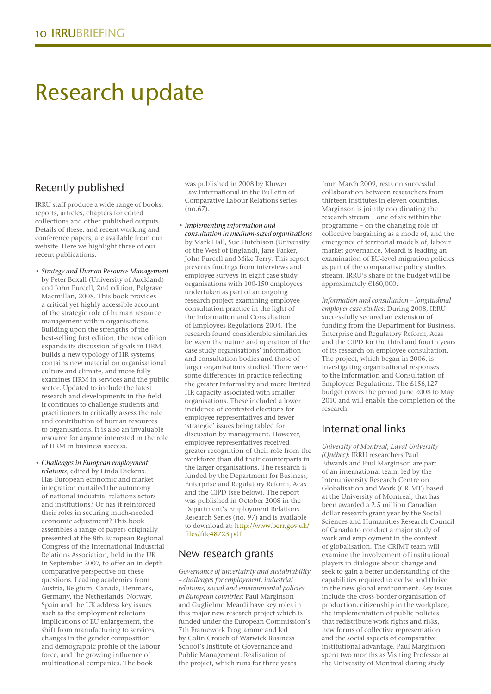## Research update

## Recently published

IRRU staff produce a wide range of books, reports, articles, chapters for edited collections and other published outputs. Details of these, and recent working and conference papers, are available from our website. Here we highlight three of our recent publications:

- *Strategy and Human Resource Management* by Peter Boxall (University of Auckland) and John Purcell, 2nd edition, Palgrave Macmillan, 2008. This book provides a critical yet highly accessible account of the strategic role of human resource management within organisations. Building upon the strengths of the best-selling first edition, the new edition expands its discussion of goals in HRM, builds a new typology of HR systems, contains new material on organisational culture and climate, and more fully examines HRM in services and the public sector. Updated to include the latest research and developments in the field, it continues to challenge students and practitioners to critically assess the role and contribution of human resources to organisations. It is also an invaluable resource for anyone interested in the role of HRM in business success.
- *Challenges in European employment relations*, edited by Linda Dickens. Has European economic and market integration curtailed the autonomy of national industrial relations actors and institutions? Or has it reinforced their roles in securing much-needed economic adjustment? This book assembles a range of papers originally presented at the 8th European Regional Congress of the International Industrial Relations Association, held in the UK in September 2007, to offer an in-depth comparative perspective on these questions. Leading academics from Austria, Belgium, Canada, Denmark, Germany, the Netherlands, Norway, Spain and the UK address key issues such as the employment relations implications of EU enlargement, the shift from manufacturing to services, changes in the gender composition and demographic profile of the labour force, and the growing influence of multinational companies. The book

was published in 2008 by Kluwer Law International in the Bulletin of Comparative Labour Relations series  $(no.67)$ 

• *Implementing information and consultation in medium-sized organisations* by Mark Hall, Sue Hutchison (University of the West of England), Jane Parker, John Purcell and Mike Terry. This report presents findings from interviews and employee surveys in eight case study organisations with 100-150 employees undertaken as part of an ongoing research project examining employee consultation practice in the light of the Information and Consultation of Employees Regulations 2004. The research found considerable similarities between the nature and operation of the case study organisations' information and consultation bodies and those of larger organisations studied. There were some differences in practice reflecting the greater informality and more limited HR capacity associated with smaller organisations. These included a lower incidence of contested elections for employee representatives and fewer 'strategic' issues being tabled for discussion by management. However, employee representatives received greater recognition of their role from the workforce than did their counterparts in the larger organisations. The research is funded by the Department for Business, Enterprise and Regulatory Reform, Acas and the CIPD (see below). The report was published in October 2008 in the Department's Employment Relations Research Series (no. 97) and is available to download at: http://www.berr.gov.uk/ files/file48723.pdf

## New research grants

*Governance of uncertainty and sustainability – challenges for employment, industrial relations, social and environmental policies in European countries*: Paul Marginson and Guglielmo Meardi have key roles in this major new research project which is funded under the European Commission's 7th Framework Programme and led by Colin Crouch of Warwick Business School's Institute of Governance and Public Management. Realisation of the project, which runs for three years

from March 2009, rests on successful collaboration between researchers from thirteen institutes in eleven countries. Marginson is jointly coordinating the research stream – one of six within the programme – on the changing role of collective bargaining as a mode of, and the emergence of territorial models of, labour market governance. Meardi is leading an examination of EU-level migration policies as part of the comparative policy studies stream. IRRU's share of the budget will be approximately €160,000.

*Information and consultation – longitudinal employer case studies:* During 2008, IRRU successfully secured an extension of funding from the Department for Business, Enterprise and Regulatory Reform, Acas and the CIPD for the third and fourth years of its research on employee consultation. The project, which began in 2006, is investigating organisational responses to the Information and Consultation of Employees Regulations. The £156,127 budget covers the period June 2008 to May 2010 and will enable the completion of the research.

## International links

*University of Montreal, Laval University (Québec):* IRRU researchers Paul Edwards and Paul Marginson are part of an international team, led by the Interuniversity Research Centre on Globalisation and Work (CRIMT) based at the University of Montreal, that has been awarded a 2.5 million Canadian dollar research grant year by the Social Sciences and Humanities Research Council of Canada to conduct a major study of work and employment in the context of globalisation. The CRIMT team will examine the involvement of institutional players in dialogue about change and seek to gain a better understanding of the capabilities required to evolve and thrive in the new global environment. Key issues include the cross-border organisation of production, citizenship in the workplace, the implementation of public policies that redistribute work rights and risks, new forms of collective representation, and the social aspects of comparative institutional advantage. Paul Marginson spent two months as Visiting Professor at the University of Montreal during study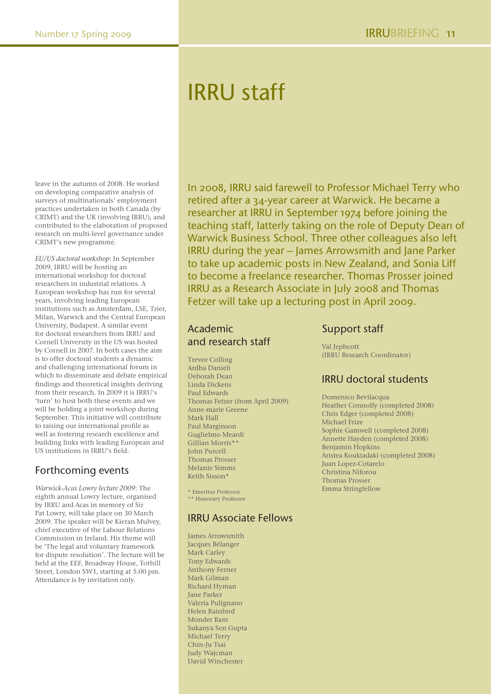## IRRU staff

leave in the autumn of 2008. He worked on developing comparative analysis of surveys of multinationals' employment practices undertaken in both Canada (by CRIMT) and the UK (involving IRRU), and contributed to the elaboration of proposed research on multi-level governance under CRIMT's new programme.

*EU/US doctoral workshop*: In September 2009, IRRU will be hosting an international workshop for doctoral researchers in industrial relations. A European workshop has run for several years, involving leading European institutions such as Amsterdam, LSE, Trier, Milan, Warwick and the Central European University, Budapest. A similar event for doctoral researchers from IRRU and Cornell University in the US was hosted by Cornell in 2007. In both cases the aim is to offer doctoral students a dynamic and challenging international forum in which to disseminate and debate empirical findings and theoretical insights deriving from their research. In 2009 it is IRRU's 'turn' to host both these events and we will be holding a joint workshop during September. This initiative will contribute to raising our international profile as well as fostering research excellence and building links with leading European and US institutions in IRRU's field.

## Forthcoming events

*Warwick-Acas Lowry lecture 2009*: The eighth annual Lowry lecture, organised by IRRU and Acas in memory of Sir Pat Lowry, will take place on 30 March 2009. The speaker will be Kieran Mulvey, chief executive of the Labour Relations Commission in Ireland. His theme will be 'The legal and voluntary framework for dispute resolution'. The lecture will be held at the EEF, Broadway House, Tothill Street, London SW1, starting at 5.00 pm. Attendance is by invitation only.

In 2008, IRRU said farewell to Professor Michael Terry who retired after a 34-year career at Warwick. He became a researcher at IRRU in September 1974 before joining the teaching staff, latterly taking on the role of Deputy Dean of Warwick Business School. Three other colleagues also left IRRU during the year – James Arrowsmith and Jane Parker to take up academic posts in New Zealand, and Sonia Liff to become a freelance researcher. Thomas Prosser joined IRRU as a Research Associate in July 2008 and Thomas Fetzer will take up a lecturing post in April 2009.

## Academic and research staff

Trevor Colling Ardha Danieli Deborah Dean Linda Dickens Paul Edwards Thomas Fetzer (from April 2009) Anne-marie Greene Mark Hall Paul Marginson Guglielmo Meardi Gillian Morris\*\* John Purcell Thomas Prosser Melanie Simms Keith Sisson\*

\* Emeritus Professor \*\* Honorary Professor

## IRRU Associate Fellows

James Arrowsmith Jacques Bélanger Mark Carley Tony Edwards Anthony Ferner Mark Gilman Richard Hyman Jane Parker Valeria Pulignano Helen Rainbird Monder Ram Sukanya Sen Gupta Michael Terry Chin-Ju Tsai Judy Wajcman David Winchester

## Support staff

Val Jephcott (IRRU Research Coordinator)

## IRRU doctoral students

Domenico Bevilacqua Heather Connolly (completed 2008) Chris Edger (completed 2008) Michael Frize Sophie Gamwell (completed 2008) Annette Hayden (completed 2008) Benjamin Hopkins Aristea Koukiadaki (completed 2008) Juan Lopez-Cotarelo Christina Niforou Thomas Prosser Emma Stringfellow